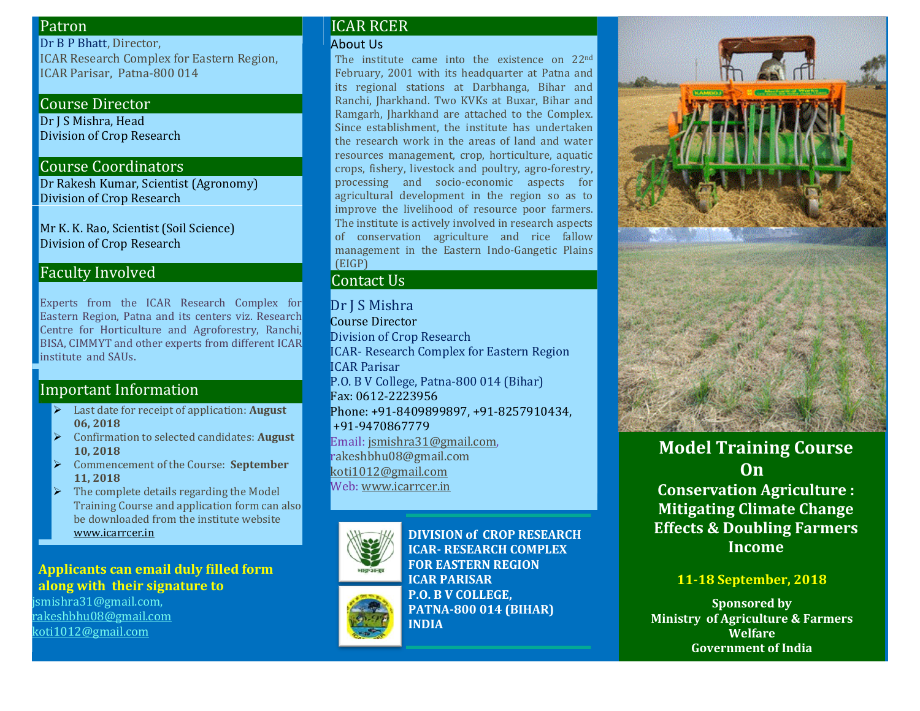### Patron

Dr B P Bhatt, Director, ICAR Research Complex for Eastern Region, ICAR Parisar, Patna-800 014

### Course Director

Dr J S Mishra, Head Division of Crop Research

#### Course Coordinators

Dr Rakesh Kumar, Scientist (Agronomy) Division of Crop Research

Mr K. K. Rao, Scientist (Soil Science) Division of Crop Research

## Faculty Involved

Experts from the ICAR Research Complex for Eastern Region, Patna and its centers viz. Research Centre for Horticulture and Agroforestry, Ranchi, BISA, CIMMYT and other experts from different ICAR institute and SAUs.

# Important Information

- Last date for receipt of application: **August 06, 2018**
- Confirmation to selected candidates: **August 10, 2018**
- Commencement of the Course: **September 11, 2018**
- $\triangleright$  The complete details regarding the Model Training Course and application form can also be downloaded from the institute website [www.icarrcer.in](http://www.icarrcer.in/)

### **Applicants can email duly filled form along with their signature to**

jsmishra31@gmail.com, [rakeshbhu08@gmail.com](mailto:rakeshbhu08@gmail.com) [koti1012@gmail.com](mailto:koti1012@gmail.com)

### ICAR RCER

#### About Us

The institute came into the existence on 22<sup>nd</sup> February, 2001 with its headquarter at Patna and its regional stations at Darbhanga, Bihar and Ranchi, Jharkhand. Two KVKs at Buxar, Bihar and Ramgarh, Jharkhand are attached to the Complex. Since establishment, the institute has undertaken the research work in the areas of land and water resources management, crop, horticulture, aquatic crops, fishery, livestock and poultry, agro-forestry, processing and socio-economic aspects for agricultural development in the region so as to improve the livelihood of resource poor farmers. The institute is actively involved in research aspects of conservation agriculture and rice fallow management in the Eastern Indo-Gangetic Plains (EIGP)

## Contact Us

Dr J S Mishra Course Director Division of Crop Research ICAR- Research Complex for Eastern Region ICAR Parisar P.O. B V College, Patna-800 014 (Bihar) Fax: 0612-2223956 Phone: +91-8409899897, +91-8257910434, +91-9470867779 Email[: jsmishra31@gmail.com,](mailto:jsmishra31@gmail.com) rakeshbhu08@gmail.com [koti1012@gmail.com](mailto:koti1012@gmail.com) Web[: www.icarrcer.in](http://www.icarrcer.in/)



**DIVISION of CROP RESEARCH ICAR- RESEARCH COMPLEX FOR EASTERN REGION ICAR PARISAR P.O. B V COLLEGE, PATNA-800 014 (BIHAR) INDIA** 



# **Model Training Course On Conservation Agriculture :**

**Mitigating Climate Change Effects & Doubling Farmers Income**

## **11-18 September, 2018**

**Sponsored by Ministry of Agriculture & Farmers Welfare Government of India**